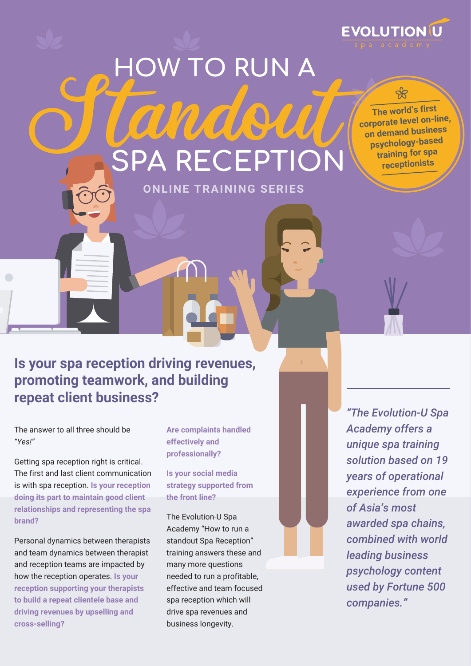# Standout **SPA RECEPTION HOW TO RUN A**

**ONLINE TRAINING SERIES**



**The world's first corporate level on-line, on demand business psychology-based training for spa receptionists**

╬

### **Is your spa reception driving revenues, promoting teamwork, and building repeat client business?**

The answer to all three should be *"Yes!"*

Getting spa reception right is critical. The first and last client communication is with spa reception. **Is your reception doing its part to maintain good client relationships and representing the spa brand?** 

Personal dynamics between therapists and team dynamics between therapist and reception teams are impacted by how the reception operates. **Is your reception supporting your therapists to build a repeat clientele base and driving revenues by upselling and cross-selling?**

**Are complaints handled effectively and professionally?** 

**Is your social media strategy supported from the front line?** 

The Evolution-U Spa Academy "How to run a standout Spa Reception" training answers these and many more questions needed to run a profitable, effective and team focused spa reception which will drive spa revenues and business longevity.

*"The Evolution-U Spa Academy offers a unique spa training solution based on 19 years of operational experience from one of Asia's most awarded spa chains, combined with world leading business psychology content used by Fortune 500 companies."*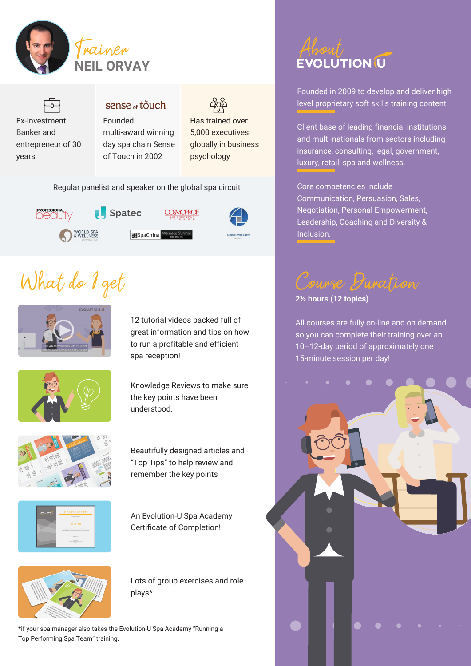



### sense <sub>of</sub> touch Founded

multi-award winning day spa chain Sense of Touch in 2002

Has trained over 5,000 executives globally in business psychology

Regular panelist and speaker on the global spa circuit



# What do I get



12 tutorial videos packed full of great information and tips on how to run a profitable and efficient spa reception!



Knowledge Reviews to make sure the key points have been understood.



Beautifully designed articles and "Top Tips" to help review and remember the key points



An Evolution-U Spa Academy Certificate of Completion!



Lots of group exercises and role plays\*

\*if your spa manager also takes the Evolution-U Spa Academy "Running a Top Performing Spa Team" training.

Founded in 2009 to develop and deliver high level proprietary soft skills training content

Client base of leading financial institutions and multi-nationals from sectors including insurance, consulting, legal, government, luxury, retail, spa and wellness.

Core competencies include Communication, Persuasion, Sales, Negotiation, Personal Empowerment, Leadership, Coaching and Diversity & Inclusion.

Course Duration

**2½ hours (12 topics)**

All courses are fully on-line and on demand, so you can complete their training over an 10–12-day period of approximately one 15-minute session per day!